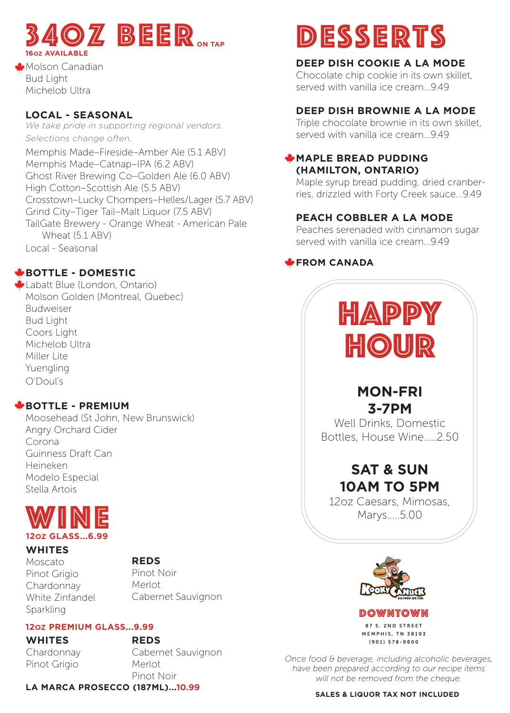

Molson Canadian Bud Light Michelob Ultra

# **LOCAL - SEASONAL**

*We take pride in supporting regional vendors. Selections change often.*

Memphis Made–Fireside–Amber Ale (5.1 ABV) Memphis Made–Catnap–IPA (6.2 ABV) Ghost River Brewing Co–Golden Ale (6.0 ABV) High Cotton–Scottish Ale (5.5 ABV) Crosstown–Lucky Chompers–Helles/Lager (5.7 ABV) Grind City–Tiger Tail–Malt Liquor (7.5 ABV) TailGate Brewery - Orange Wheat - American Pale Wheat (5.1 ABV) Local - Seasonal

# **BOTTLE - DOMESTIC**

Labatt Blue (London, Ontario) Molson Golden (Montreal, Quebec) Budweiser Bud Light Coors Light Michelob Ultra Miller Lite Yuengling O'Doul's

# **BOTTLE - PREMIUM**

Moosehead (St John, New Brunswick) Angry Orchard Cider Corona Guinness Draft Can Heineken Modelo Especial Stella Artois



## **WHITES**

Moscato

## **REDS**

Pinot Grigio Chardonnay White Zinfandel **Sparkling** 

Pinot Noir Merlot Cabernet Sauvignon

# **12OZ PREMIUM GLASS...9.99**

**WHITES** Chardonnay Pinot Grigio

**REDS** Cabernet Sauvignon Merlot Pinot Noir

**LA MARCA PROSECCO (187ML)...10.99**

# **DESSERTS**

# **DEEP DISH COOKIE A LA MODE**

Chocolate chip cookie in its own skillet, served with vanilla ice cream...9.49

## **DEEP DISH BROWNIE A LA MODE**

Triple chocolate brownie in its own skillet, served with vanilla ice cream...9.49

# **MAPLE BREAD PUDDING (HAMILTON, ONTARIO)**

Maple syrup bread pudding, dried cranberries, drizzled with Forty Creek sauce...9.49

# **PEACH COBBLER A LA MODE**

Peaches serenaded with cinnamon sugar served with vanilla ice cream...9.49

# **FROM CANADA**



# **MON-FRI 3-7PM**

Well Drinks, Domestic Bottles, House Wine…..2.50

# **SAT & SUN 10AM TO 5PM**

12oz Caesars, Mimosas, Marys…..5.00



DOWNTOWN 87 S. 2ND STREET MEMPHIS, TN 38103 (901) 578-9800

*Once food & beverage, including alcoholic beverages, have been prepared according to our recipe items will not be removed from the cheque.*

**SALES & LIQUOR TAX NOT INCLUDED**